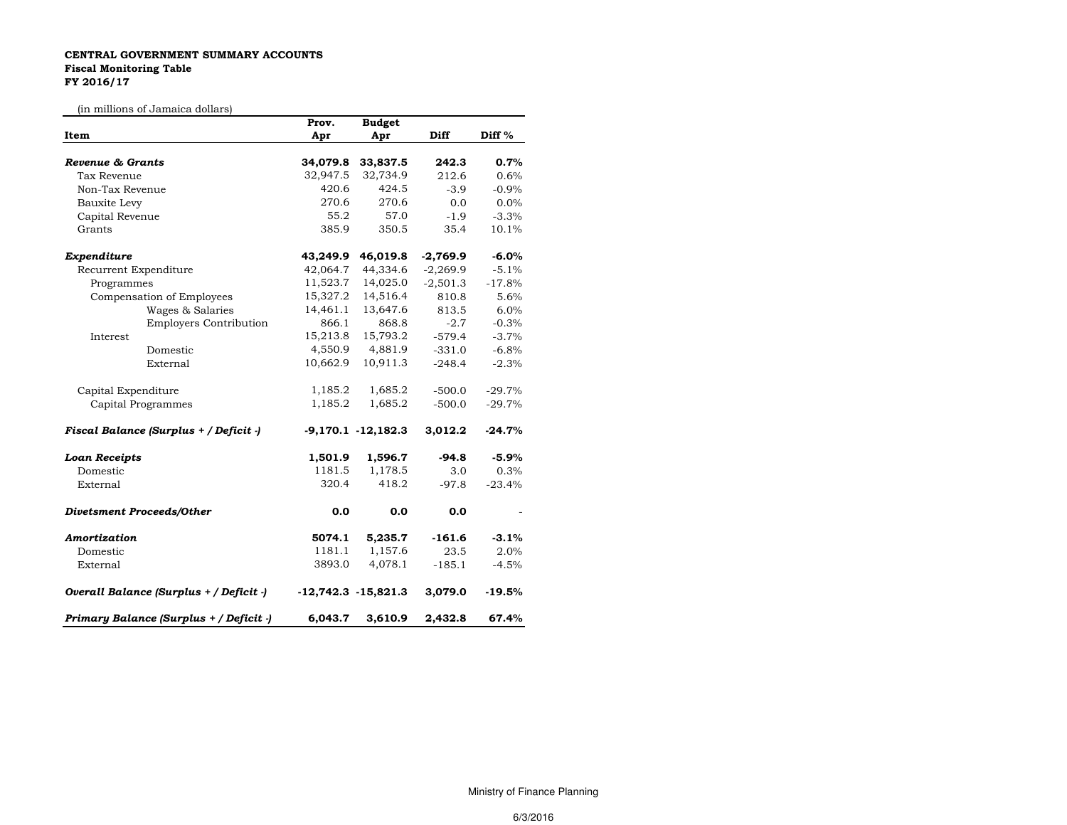## CENTRAL GOVERNMENT SUMMARY ACCOUNTS Fiscal Monitoring TableFY 2016/17

(in millions of Jamaica dollars)

| un minions of Jamaica donars)           | Prov.    | <b>Budget</b>           |            |          |
|-----------------------------------------|----------|-------------------------|------------|----------|
| Item                                    | Apr      | Apr                     | Diff       | Diff %   |
|                                         |          |                         |            |          |
| <b>Revenue &amp; Grants</b>             | 34,079.8 | 33,837.5                | 242.3      | 0.7%     |
| Tax Revenue                             | 32,947.5 | 32,734.9                | 212.6      | 0.6%     |
| Non-Tax Revenue                         | 420.6    | 424.5                   | $-3.9$     | $-0.9%$  |
| Bauxite Levy                            | 270.6    | 270.6                   | 0.0        | 0.0%     |
| Capital Revenue                         | 55.2     | 57.0                    | $-1.9$     | $-3.3%$  |
| Grants                                  | 385.9    | 350.5                   | 35.4       | 10.1%    |
| Expenditure                             | 43,249.9 | 46,019.8                | $-2,769.9$ | $-6.0%$  |
| Recurrent Expenditure                   | 42,064.7 | 44,334.6                | $-2,269.9$ | $-5.1%$  |
| Programmes                              | 11,523.7 | 14,025.0                | $-2,501.3$ | $-17.8%$ |
| Compensation of Employees               | 15,327.2 | 14,516.4                | 810.8      | 5.6%     |
| Wages & Salaries                        | 14,461.1 | 13,647.6                | 813.5      | 6.0%     |
| <b>Employers Contribution</b>           | 866.1    | 868.8                   | $-2.7$     | $-0.3%$  |
| Interest                                | 15,213.8 | 15,793.2                | $-579.4$   | $-3.7%$  |
| Domestic                                | 4,550.9  | 4,881.9                 | $-331.0$   | $-6.8%$  |
| External                                | 10,662.9 | 10,911.3                | $-248.4$   | $-2.3%$  |
| Capital Expenditure                     | 1,185.2  | 1,685.2                 | $-500.0$   | $-29.7%$ |
| Capital Programmes                      | 1,185.2  | 1,685.2                 | $-500.0$   | $-29.7%$ |
| Fiscal Balance (Surplus + / Deficit -)  |          | $-9,170.1 - 12,182.3$   | 3,012.2    | $-24.7%$ |
| <b>Loan Receipts</b>                    | 1,501.9  | 1,596.7                 | $-94.8$    | $-5.9%$  |
| Domestic                                | 1181.5   | 1,178.5                 | 3.0        | 0.3%     |
| External                                | 320.4    | 418.2                   | $-97.8$    | $-23.4%$ |
| <b>Divetsment Proceeds/Other</b>        | 0.0      | 0.0                     | 0.0        |          |
| Amortization                            | 5074.1   | 5,235.7                 | $-161.6$   | $-3.1%$  |
| Domestic                                | 1181.1   | 1,157.6                 | 23.5       | 2.0%     |
| External                                | 3893.0   | 4,078.1                 | $-185.1$   | $-4.5%$  |
| Overall Balance (Surplus + / Deficit -) |          | $-12,742.3$ $-15,821.3$ | 3,079.0    | $-19.5%$ |
| Primary Balance (Surplus + / Deficit -) | 6,043.7  | 3,610.9                 | 2,432.8    | 67.4%    |